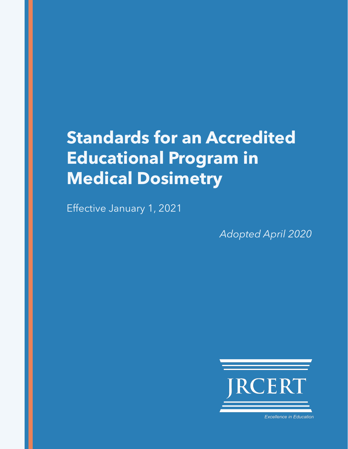# **Standards for an Accredited Educational Program in Medical Dosimetry**

Effective January 1, 2021

*Adopted April 2020*



**Excellence in Education**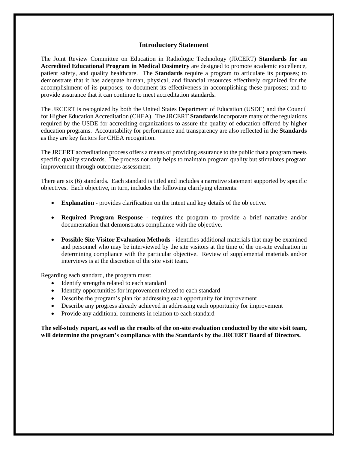#### **Introductory Statement**

The Joint Review Committee on Education in Radiologic Technology (JRCERT) **Standards for an Accredited Educational Program in Medical Dosimetry** are designed to promote academic excellence, patient safety, and quality healthcare. The **Standards** require a program to articulate its purposes; to demonstrate that it has adequate human, physical, and financial resources effectively organized for the accomplishment of its purposes; to document its effectiveness in accomplishing these purposes; and to provide assurance that it can continue to meet accreditation standards.

The JRCERT is recognized by both the United States Department of Education (USDE) and the Council for Higher Education Accreditation (CHEA). The JRCERT **Standards** incorporate many of the regulations required by the USDE for accrediting organizations to assure the quality of education offered by higher education programs. Accountability for performance and transparency are also reflected in the **Standards** as they are key factors for CHEA recognition.

The JRCERT accreditation process offers a means of providing assurance to the public that a program meets specific quality standards. The process not only helps to maintain program quality but stimulates program improvement through outcomes assessment.

There are six (6) standards. Each standard is titled and includes a narrative statement supported by specific objectives. Each objective, in turn, includes the following clarifying elements:

- **Explanation** provides clarification on the intent and key details of the objective.
- **Required Program Response**  requires the program to provide a brief narrative and/or documentation that demonstrates compliance with the objective.
- **Possible Site Visitor Evaluation Methods** identifies additional materials that may be examined and personnel who may be interviewed by the site visitors at the time of the on-site evaluation in determining compliance with the particular objective. Review of supplemental materials and/or interviews is at the discretion of the site visit team.

Regarding each standard, the program must:

- Identify strengths related to each standard
- Identify opportunities for improvement related to each standard
- Describe the program's plan for addressing each opportunity for improvement
- Describe any progress already achieved in addressing each opportunity for improvement
- Provide any additional comments in relation to each standard

**The self-study report, as well as the results of the on-site evaluation conducted by the site visit team, will determine the program's compliance with the Standards by the JRCERT Board of Directors.**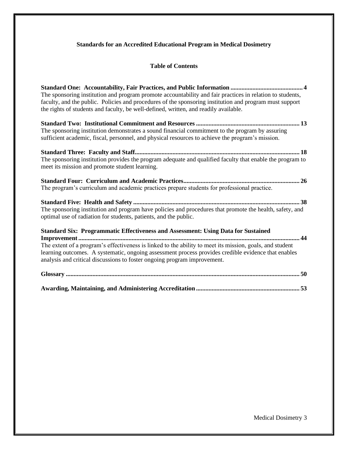# **Standards for an Accredited Educational Program in Medical Dosimetry**

# **Table of Contents**

| The sponsoring institution and program promote accountability and fair practices in relation to students,<br>faculty, and the public. Policies and procedures of the sponsoring institution and program must support<br>the rights of students and faculty, be well-defined, written, and readily available.                                                                            |
|-----------------------------------------------------------------------------------------------------------------------------------------------------------------------------------------------------------------------------------------------------------------------------------------------------------------------------------------------------------------------------------------|
| The sponsoring institution demonstrates a sound financial commitment to the program by assuring<br>sufficient academic, fiscal, personnel, and physical resources to achieve the program's mission.                                                                                                                                                                                     |
| The sponsoring institution provides the program adequate and qualified faculty that enable the program to<br>meet its mission and promote student learning.                                                                                                                                                                                                                             |
| The program's curriculum and academic practices prepare students for professional practice.                                                                                                                                                                                                                                                                                             |
| The sponsoring institution and program have policies and procedures that promote the health, safety, and<br>optimal use of radiation for students, patients, and the public.                                                                                                                                                                                                            |
| <b>Standard Six: Programmatic Effectiveness and Assessment: Using Data for Sustained</b><br>The extent of a program's effectiveness is linked to the ability to meet its mission, goals, and student<br>learning outcomes. A systematic, ongoing assessment process provides credible evidence that enables<br>analysis and critical discussions to foster ongoing program improvement. |
|                                                                                                                                                                                                                                                                                                                                                                                         |
|                                                                                                                                                                                                                                                                                                                                                                                         |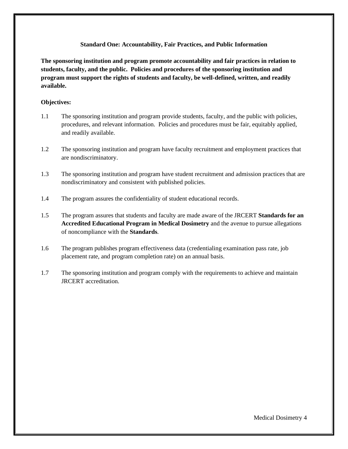#### **Standard One: Accountability, Fair Practices, and Public Information**

**The sponsoring institution and program promote accountability and fair practices in relation to students, faculty, and the public. Policies and procedures of the sponsoring institution and program must support the rights of students and faculty, be well-defined, written, and readily available.** 

## **Objectives:**

- 1.1 The sponsoring institution and program provide students, faculty, and the public with policies, procedures, and relevant information. Policies and procedures must be fair, equitably applied, and readily available.
- 1.2 The sponsoring institution and program have faculty recruitment and employment practices that are nondiscriminatory.
- 1.3 The sponsoring institution and program have student recruitment and admission practices that are nondiscriminatory and consistent with published policies.
- 1.4 The program assures the confidentiality of student educational records.
- 1.5 The program assures that students and faculty are made aware of the JRCERT **Standards for an Accredited Educational Program in Medical Dosimetry** and the avenue to pursue allegations of noncompliance with the **Standards**.
- 1.6 The program publishes program effectiveness data (credentialing examination pass rate, job placement rate, and program completion rate) on an annual basis.
- 1.7 The sponsoring institution and program comply with the requirements to achieve and maintain JRCERT accreditation.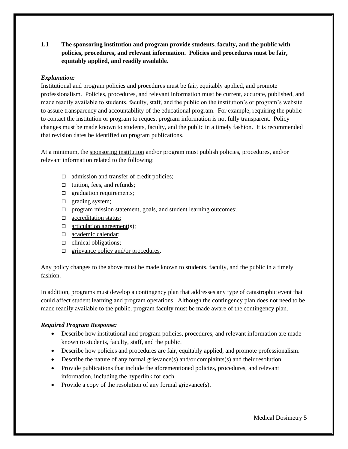**1.1 The sponsoring institution and program provide students, faculty, and the public with policies, procedures, and relevant information. Policies and procedures must be fair, equitably applied, and readily available.** 

# *Explanation:*

Institutional and program policies and procedures must be fair, equitably applied, and promote professionalism. Policies, procedures, and relevant information must be current, accurate, published, and made readily available to students, faculty, staff, and the public on the institution's or program's website to assure transparency and accountability of the educational program. For example, requiring the public to contact the institution or program to request program information is not fully transparent. Policy changes must be made known to students, faculty, and the public in a timely fashion. It is recommended that revision dates be identified on program publications.

At a minimum, the sponsoring institution and/or program must publish policies, procedures, and/or relevant information related to the following:

- $\Box$  admission and transfer of credit policies;
- $\Box$  tuition, fees, and refunds;
- $\Box$  graduation requirements;
- $\Box$  grading system;
- $\Box$  program mission statement, goals, and student learning outcomes;
- □ accreditation status;
- $\Box$  articulation agreement(s);
- □ academic calendar;
- $\Box$  clinical obligations;
- $\Box$  grievance policy and/or procedures.

Any policy changes to the above must be made known to students, faculty, and the public in a timely fashion.

In addition, programs must develop a contingency plan that addresses any type of catastrophic event that could affect student learning and program operations. Although the contingency plan does not need to be made readily available to the public, program faculty must be made aware of the contingency plan.

# *Required Program Response:*

- Describe how institutional and program policies, procedures, and relevant information are made known to students, faculty, staff, and the public.
- Describe how policies and procedures are fair, equitably applied, and promote professionalism.
- Describe the nature of any formal grievance(s) and/or complaints(s) and their resolution.
- Provide publications that include the aforementioned policies, procedures, and relevant information, including the hyperlink for each.
- Provide a copy of the resolution of any formal grievance(s).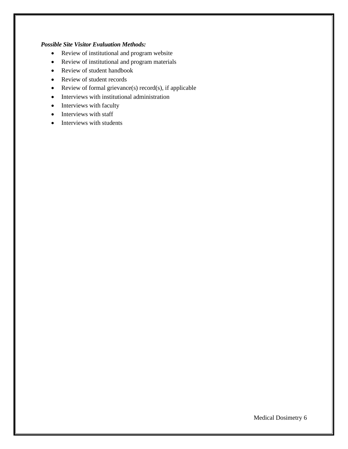## *Possible Site Visitor Evaluation Methods:*

- Review of institutional and program website
- Review of institutional and program materials
- Review of student handbook
- Review of student records
- Review of formal grievance(s) record(s), if applicable
- Interviews with institutional administration
- Interviews with faculty
- Interviews with staff
- Interviews with students

Medical Dosimetry 6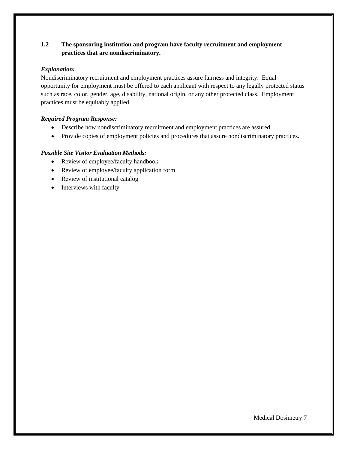# **1.2 The sponsoring institution and program have faculty recruitment and employment practices that are nondiscriminatory.**

## *Explanation:*

Nondiscriminatory recruitment and employment practices assure fairness and integrity. Equal opportunity for employment must be offered to each applicant with respect to any legally protected status such as race, color, gender, age, disability, national origin, or any other protected class. Employment practices must be equitably applied.

# *Required Program Response:*

- Describe how nondiscriminatory recruitment and employment practices are assured.
- Provide copies of employment policies and procedures that assure nondiscriminatory practices.

- Review of employee/faculty handbook
- Review of employee/faculty application form
- Review of institutional catalog
- Interviews with faculty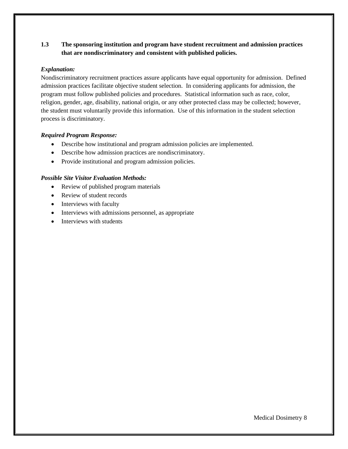# **1.3 The sponsoring institution and program have student recruitment and admission practices that are nondiscriminatory and consistent with published policies.**

## *Explanation:*

Nondiscriminatory recruitment practices assure applicants have equal opportunity for admission. Defined admission practices facilitate objective student selection. In considering applicants for admission, the program must follow published policies and procedures. Statistical information such as race, color, religion, gender, age, disability, national origin, or any other protected class may be collected; however, the student must voluntarily provide this information. Use of this information in the student selection process is discriminatory.

#### *Required Program Response:*

- Describe how institutional and program admission policies are implemented.
- Describe how admission practices are nondiscriminatory.
- Provide institutional and program admission policies.

- Review of published program materials
- Review of student records
- Interviews with faculty
- Interviews with admissions personnel, as appropriate
- Interviews with students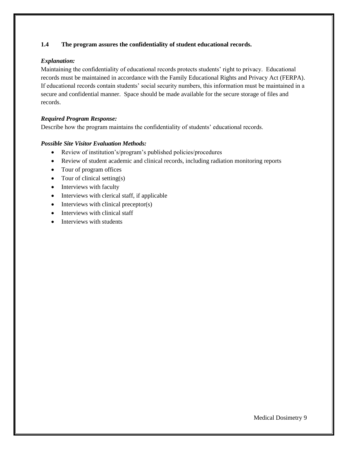## **1.4 The program assures the confidentiality of student educational records.**

## *Explanation:*

Maintaining the confidentiality of educational records protects students' right to privacy. Educational records must be maintained in accordance with the Family Educational Rights and Privacy Act (FERPA). If educational records contain students' social security numbers, this information must be maintained in a secure and confidential manner. Space should be made available for the secure storage of files and records.

## *Required Program Response:*

Describe how the program maintains the confidentiality of students' educational records.

- Review of institution's/program's published policies/procedures
- Review of student academic and clinical records, including radiation monitoring reports
- Tour of program offices
- Tour of clinical setting(s)
- Interviews with faculty
- Interviews with clerical staff, if applicable
- Interviews with clinical preceptor(s)
- Interviews with clinical staff
- Interviews with students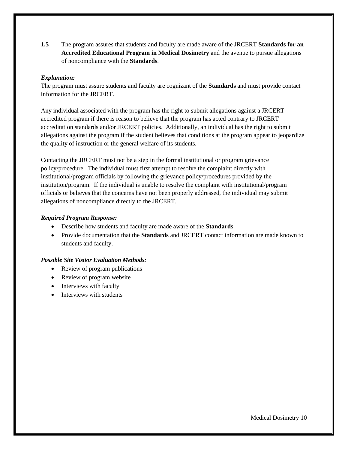**1.5** The program assures that students and faculty are made aware of the JRCERT **Standards for an Accredited Educational Program in Medical Dosimetry** and the avenue to pursue allegations of noncompliance with the **Standards**.

## *Explanation:*

The program must assure students and faculty are cognizant of the **Standards** and must provide contact information for the JRCERT.

Any individual associated with the program has the right to submit allegations against a JRCERTaccredited program if there is reason to believe that the program has acted contrary to JRCERT accreditation standards and/or JRCERT policies. Additionally, an individual has the right to submit allegations against the program if the student believes that conditions at the program appear to jeopardize the quality of instruction or the general welfare of its students.

Contacting the JRCERT must not be a step in the formal institutional or program grievance policy/procedure. The individual must first attempt to resolve the complaint directly with institutional/program officials by following the grievance policy/procedures provided by the institution/program. If the individual is unable to resolve the complaint with institutional/program officials or believes that the concerns have not been properly addressed, the individual may submit allegations of noncompliance directly to the JRCERT.

## *Required Program Response:*

- Describe how students and faculty are made aware of the **Standards**.
- Provide documentation that the **Standards** and JRCERT contact information are made known to students and faculty.

- Review of program publications
- Review of program website
- Interviews with faculty
- Interviews with students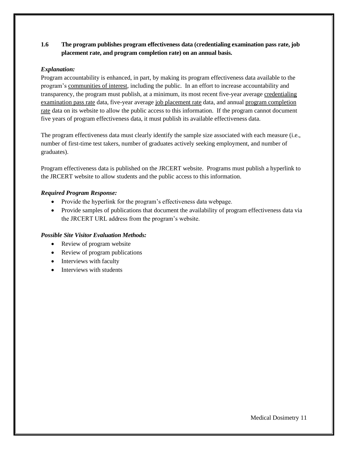# **1.6 The program publishes program effectiveness data (credentialing examination pass rate, job placement rate, and program completion rate) on an annual basis.**

## *Explanation:*

Program accountability is enhanced, in part, by making its program effectiveness data available to the program's communities of interest, including the public. In an effort to increase accountability and transparency, the program must publish, at a minimum, its most recent five-year average credentialing examination pass rate data, five-year average job placement rate data, and annual program completion rate data on its website to allow the public access to this information. If the program cannot document five years of program effectiveness data, it must publish its available effectiveness data.

The program effectiveness data must clearly identify the sample size associated with each measure (i.e., number of first-time test takers, number of graduates actively seeking employment, and number of graduates).

Program effectiveness data is published on the JRCERT website. Programs must publish a hyperlink to the JRCERT website to allow students and the public access to this information.

## *Required Program Response:*

- Provide the hyperlink for the program's effectiveness data webpage.
- Provide samples of publications that document the availability of program effectiveness data via the JRCERT URL address from the program's website.

- Review of program website
- Review of program publications
- Interviews with faculty
- Interviews with students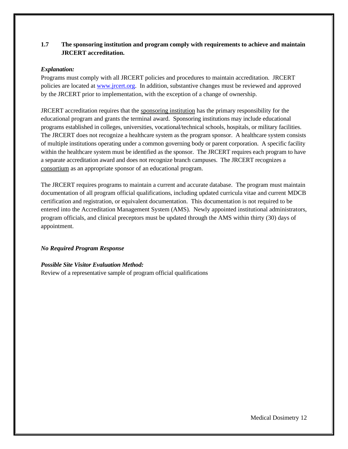# **1.7 The sponsoring institution and program comply with requirements to achieve and maintain JRCERT accreditation.**

#### *Explanation:*

Programs must comply with all JRCERT policies and procedures to maintain accreditation. JRCERT policies are located at [www.jrcert.org.](http://www.jrcert.org/) In addition, substantive changes must be reviewed and approved by the JRCERT prior to implementation, with the exception of a change of ownership.

JRCERT accreditation requires that the sponsoring institution has the primary responsibility for the educational program and grants the terminal award. Sponsoring institutions may include educational programs established in colleges, universities, vocational/technical schools, hospitals, or military facilities. The JRCERT does not recognize a healthcare system as the program sponsor. A healthcare system consists of multiple institutions operating under a common governing body or parent corporation. A specific facility within the healthcare system must be identified as the sponsor. The JRCERT requires each program to have a separate accreditation award and does not recognize branch campuses. The JRCERT recognizes a consortium as an appropriate sponsor of an educational program.

The JRCERT requires programs to maintain a current and accurate database. The program must maintain documentation of all program official qualifications, including updated curricula vitae and current MDCB certification and registration, or equivalent documentation. This documentation is not required to be entered into the Accreditation Management System (AMS). Newly appointed institutional administrators, program officials, and clinical preceptors must be updated through the AMS within thirty (30) days of appointment.

# *No Required Program Response*

#### *Possible Site Visitor Evaluation Method:*

Review of a representative sample of program official qualifications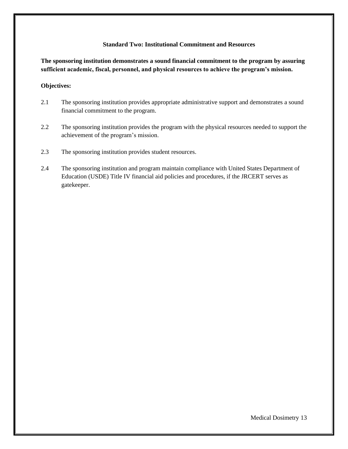#### **Standard Two: Institutional Commitment and Resources**

**The sponsoring institution demonstrates a sound financial commitment to the program by assuring sufficient academic, fiscal, personnel, and physical resources to achieve the program's mission.**

#### **Objectives:**

- 2.1 The sponsoring institution provides appropriate administrative support and demonstrates a sound financial commitment to the program.
- 2.2 The sponsoring institution provides the program with the physical resources needed to support the achievement of the program's mission.
- 2.3 The sponsoring institution provides student resources.
- 2.4 The sponsoring institution and program maintain compliance with United States Department of Education (USDE) Title IV financial aid policies and procedures, if the JRCERT serves as gatekeeper.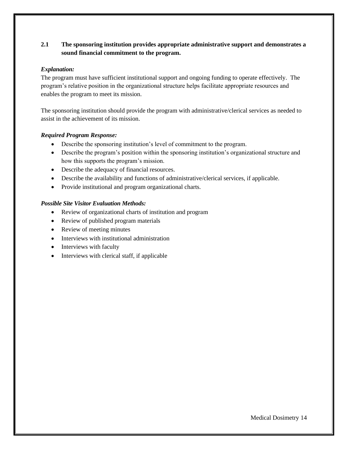# **2.1 The sponsoring institution provides appropriate administrative support and demonstrates a sound financial commitment to the program.**

## *Explanation:*

The program must have sufficient institutional support and ongoing funding to operate effectively. The program's relative position in the organizational structure helps facilitate appropriate resources and enables the program to meet its mission.

The sponsoring institution should provide the program with administrative/clerical services as needed to assist in the achievement of its mission.

## *Required Program Response:*

- Describe the sponsoring institution's level of commitment to the program.
- Describe the program's position within the sponsoring institution's organizational structure and how this supports the program's mission.
- Describe the adequacy of financial resources.
- Describe the availability and functions of administrative/clerical services, if applicable.
- Provide institutional and program organizational charts.

- Review of organizational charts of institution and program
- Review of published program materials
- Review of meeting minutes
- Interviews with institutional administration
- Interviews with faculty
- Interviews with clerical staff, if applicable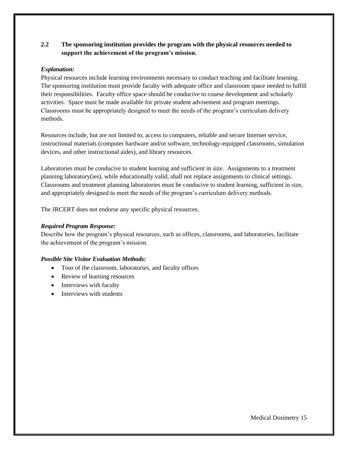# **2.2 The sponsoring institution provides the program with the physical resources needed to support the achievement of the program's mission.**

## *Explanation:*

Physical resources include learning environments necessary to conduct teaching and facilitate learning. The sponsoring institution must provide faculty with adequate office and classroom space needed to fulfill their responsibilities. Faculty office space should be conducive to course development and scholarly activities. Space must be made available for private student advisement and program meetings. Classrooms must be appropriately designed to meet the needs of the program's curriculum delivery methods.

Resources include, but are not limited to, access to computers, reliable and secure Internet service, instructional materials (computer hardware and/or software, technology-equipped classrooms, simulation devices, and other instructional aides), and library resources.

Laboratories must be conducive to student learning and sufficient in size. Assignments to a treatment planning laboratory(ies), while educationally valid, shall not replace assignments to clinical settings. Classrooms and treatment planning laboratories must be conducive to student learning, sufficient in size, and appropriately designed to meet the needs of the program's curriculum delivery methods.

The JRCERT does not endorse any specific physical resources.

## *Required Program Response:*

Describe how the program's physical resources, such as offices, classrooms, and laboratories, facilitate the achievement of the program's mission.

- Tour of the classroom, laboratories, and faculty offices
- Review of learning resources
- Interviews with faculty
- Interviews with students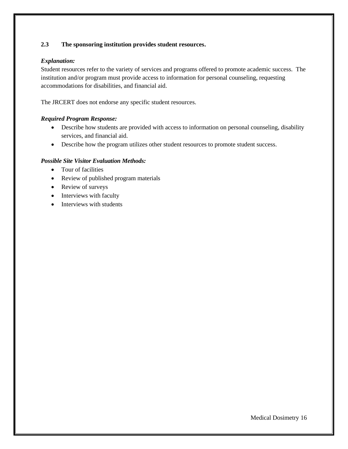# **2.3 The sponsoring institution provides student resources.**

## *Explanation:*

Student resources refer to the variety of services and programs offered to promote academic success. The institution and/or program must provide access to information for personal counseling, requesting accommodations for disabilities, and financial aid.

The JRCERT does not endorse any specific student resources.

## *Required Program Response:*

- Describe how students are provided with access to information on personal counseling, disability services, and financial aid.
- Describe how the program utilizes other student resources to promote student success.

- Tour of facilities
- Review of published program materials
- Review of surveys
- Interviews with faculty
- Interviews with students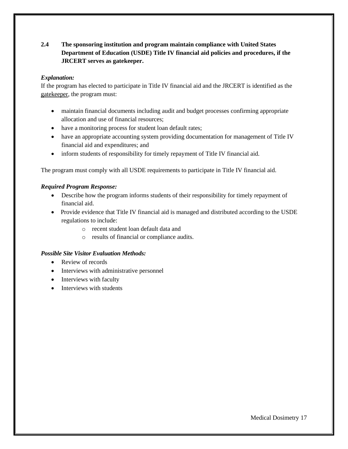# **2.4 The sponsoring institution and program maintain compliance with United States Department of Education (USDE) Title IV financial aid policies and procedures, if the JRCERT serves as gatekeeper.**

# *Explanation:*

If the program has elected to participate in Title IV financial aid and the JRCERT is identified as the gatekeeper, the program must:

- maintain financial documents including audit and budget processes confirming appropriate allocation and use of financial resources;
- have a monitoring process for student loan default rates;
- have an appropriate accounting system providing documentation for management of Title IV financial aid and expenditures; and
- inform students of responsibility for timely repayment of Title IV financial aid.

The program must comply with all USDE requirements to participate in Title IV financial aid.

## *Required Program Response:*

- Describe how the program informs students of their responsibility for timely repayment of financial aid.
- Provide evidence that Title IV financial aid is managed and distributed according to the USDE regulations to include:
	- o recent student loan default data and
	- o results of financial or compliance audits.

- Review of records
- Interviews with administrative personnel
- Interviews with faculty
- Interviews with students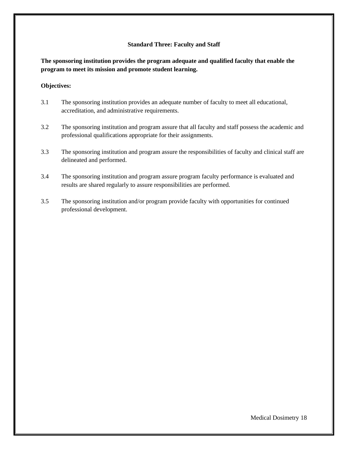#### **Standard Three: Faculty and Staff**

**The sponsoring institution provides the program adequate and qualified faculty that enable the program to meet its mission and promote student learning.**

#### **Objectives:**

- 3.1 The sponsoring institution provides an adequate number of faculty to meet all educational, accreditation, and administrative requirements.
- 3.2 The sponsoring institution and program assure that all faculty and staff possess the academic and professional qualifications appropriate for their assignments.
- 3.3 The sponsoring institution and program assure the responsibilities of faculty and clinical staff are delineated and performed.
- 3.4 The sponsoring institution and program assure program faculty performance is evaluated and results are shared regularly to assure responsibilities are performed.
- 3.5 The sponsoring institution and/or program provide faculty with opportunities for continued professional development.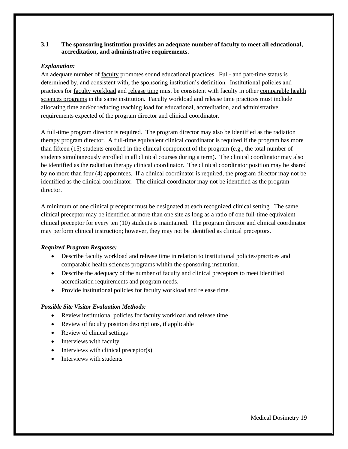### **3.1 The sponsoring institution provides an adequate number of faculty to meet all educational, accreditation, and administrative requirements.**

## *Explanation:*

An adequate number of faculty promotes sound educational practices. Full- and part-time status is determined by, and consistent with, the sponsoring institution's definition. Institutional policies and practices for faculty workload and release time must be consistent with faculty in other comparable health sciences programs in the same institution. Faculty workload and release time practices must include allocating time and/or reducing teaching load for educational, accreditation, and administrative requirements expected of the program director and clinical coordinator.

A full-time program director is required. The program director may also be identified as the radiation therapy program director. A full-time equivalent clinical coordinator is required if the program has more than fifteen (15) students enrolled in the clinical component of the program (e.g., the total number of students simultaneously enrolled in all clinical courses during a term). The clinical coordinator may also be identified as the radiation therapy clinical coordinator. The clinical coordinator position may be shared by no more than four (4) appointees. If a clinical coordinator is required, the program director may not be identified as the clinical coordinator. The clinical coordinator may not be identified as the program director.

A minimum of one clinical preceptor must be designated at each recognized clinical setting. The same clinical preceptor may be identified at more than one site as long as a ratio of one full-time equivalent clinical preceptor for every ten (10) students is maintained. The program director and clinical coordinator may perform clinical instruction; however, they may not be identified as clinical preceptors.

#### *Required Program Response:*

- Describe faculty workload and release time in relation to institutional policies/practices and comparable health sciences programs within the sponsoring institution.
- Describe the adequacy of the number of faculty and clinical preceptors to meet identified accreditation requirements and program needs.
- Provide institutional policies for faculty workload and release time.

- Review institutional policies for faculty workload and release time
- Review of faculty position descriptions, if applicable
- Review of clinical settings
- Interviews with faculty
- Interviews with clinical preceptor(s)
- Interviews with students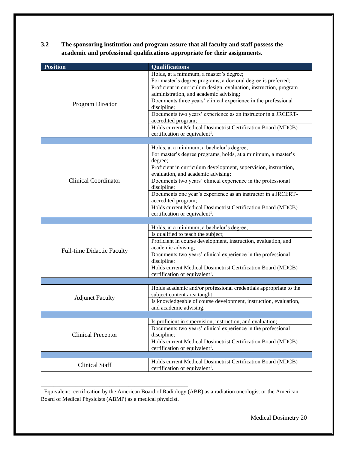**3.2 The sponsoring institution and program assure that all faculty and staff possess the academic and professional qualifications appropriate for their assignments.** 

| <b>Position</b>                   | <b>Qualifications</b>                                                                                                                                                                                                                                                                                                                                                                                                                                                                                               |
|-----------------------------------|---------------------------------------------------------------------------------------------------------------------------------------------------------------------------------------------------------------------------------------------------------------------------------------------------------------------------------------------------------------------------------------------------------------------------------------------------------------------------------------------------------------------|
| Program Director                  | Holds, at a minimum, a master's degree;<br>For master's degree programs, a doctoral degree is preferred;<br>Proficient in curriculum design, evaluation, instruction, program<br>administration, and academic advising;<br>Documents three years' clinical experience in the professional<br>discipline;<br>Documents two years' experience as an instructor in a JRCERT-<br>accredited program;<br>Holds current Medical Dosimetrist Certification Board (MDCB)<br>certification or equivalent <sup>1</sup> .      |
|                                   |                                                                                                                                                                                                                                                                                                                                                                                                                                                                                                                     |
| <b>Clinical Coordinator</b>       | Holds, at a minimum, a bachelor's degree;<br>For master's degree programs, holds, at a minimum, a master's<br>degree;<br>Proficient in curriculum development, supervision, instruction,<br>evaluation, and academic advising;<br>Documents two years' clinical experience in the professional<br>discipline;<br>Documents one year's experience as an instructor in a JRCERT-<br>accredited program;<br>Holds current Medical Dosimetrist Certification Board (MDCB)<br>certification or equivalent <sup>1</sup> . |
|                                   |                                                                                                                                                                                                                                                                                                                                                                                                                                                                                                                     |
| <b>Full-time Didactic Faculty</b> | Holds, at a minimum, a bachelor's degree;<br>Is qualified to teach the subject;<br>Proficient in course development, instruction, evaluation, and<br>academic advising;<br>Documents two years' clinical experience in the professional<br>discipline;<br>Holds current Medical Dosimetrist Certification Board (MDCB)<br>certification or equivalent <sup>1</sup> .                                                                                                                                                |
| <b>Adjunct Faculty</b>            | Holds academic and/or professional credentials appropriate to the<br>subject content area taught;<br>Is knowledgeable of course development, instruction, evaluation,<br>and academic advising.                                                                                                                                                                                                                                                                                                                     |
| <b>Clinical Preceptor</b>         | Is proficient in supervision, instruction, and evaluation;<br>Documents two years' clinical experience in the professional<br>discipline;<br>Holds current Medical Dosimetrist Certification Board (MDCB)<br>certification or equivalent <sup>1</sup> .                                                                                                                                                                                                                                                             |
|                                   |                                                                                                                                                                                                                                                                                                                                                                                                                                                                                                                     |
| <b>Clinical Staff</b>             | Holds current Medical Dosimetrist Certification Board (MDCB)<br>certification or equivalent <sup>1</sup> .                                                                                                                                                                                                                                                                                                                                                                                                          |

<sup>1</sup> Equivalent: certification by the American Board of Radiology (ABR) as a radiation oncologist or the American Board of Medical Physicists (ABMP) as a medical physicist.

\_\_\_\_\_\_\_\_\_\_\_\_\_\_\_\_\_\_\_\_\_\_\_\_\_\_\_\_\_\_\_\_\_\_\_\_\_\_\_\_\_\_\_\_\_\_\_

Medical Dosimetry 20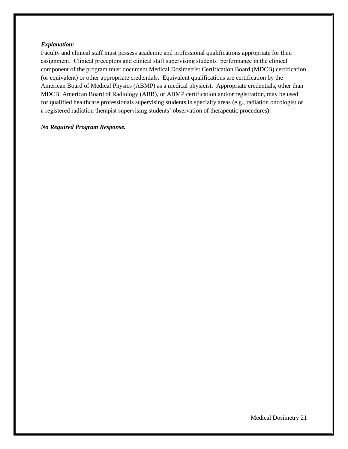#### *Explanation:*

Faculty and clinical staff must possess academic and professional qualifications appropriate for their assignment. Clinical preceptors and clinical staff supervising students' performance in the clinical component of the program must document Medical Dosimetrist Certification Board (MDCB) certification (or equivalent) or other appropriate credentials. Equivalent qualifications are certification by the American Board of Medical Physics (ABMP) as a medical physicist. Appropriate credentials, other than MDCB, American Board of Radiology (ABR), or ABMP certification and/or registration, may be used for qualified healthcare professionals supervising students in specialty areas (e.g., radiation oncologist or a registered radiation therapist supervising students' observation of therapeutic procedures).

#### *No Required Program Response.*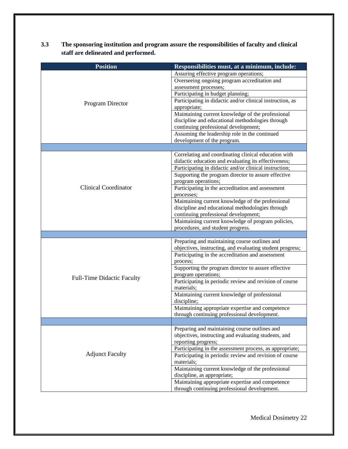| 3.3 | The sponsoring institution and program assure the responsibilities of faculty and clinical |
|-----|--------------------------------------------------------------------------------------------|
|     | staff are delineated and performed.                                                        |

| <b>Position</b>                   | Responsibilities must, at a minimum, include:                                                                  |
|-----------------------------------|----------------------------------------------------------------------------------------------------------------|
|                                   | Assuring effective program operations;                                                                         |
|                                   | Overseeing ongoing program accreditation and                                                                   |
|                                   | assessment processes;                                                                                          |
|                                   | Participating in budget planning;                                                                              |
| Program Director                  | Participating in didactic and/or clinical instruction, as                                                      |
|                                   | appropriate;                                                                                                   |
|                                   | Maintaining current knowledge of the professional                                                              |
|                                   | discipline and educational methodologies through                                                               |
|                                   | continuing professional development;                                                                           |
|                                   | Assuming the leadership role in the continued                                                                  |
|                                   | development of the program.                                                                                    |
|                                   |                                                                                                                |
|                                   | Correlating and coordinating clinical education with                                                           |
|                                   | didactic education and evaluating its effectiveness;                                                           |
|                                   | Participating in didactic and/or clinical instruction;                                                         |
|                                   | Supporting the program director to assure effective                                                            |
|                                   | program operations;                                                                                            |
| <b>Clinical Coordinator</b>       | Participating in the accreditation and assessment                                                              |
|                                   | processes;                                                                                                     |
|                                   | Maintaining current knowledge of the professional                                                              |
|                                   | discipline and educational methodologies through                                                               |
|                                   | continuing professional development;                                                                           |
|                                   | Maintaining current knowledge of program policies,                                                             |
|                                   | procedures, and student progress.                                                                              |
|                                   |                                                                                                                |
|                                   | Preparing and maintaining course outlines and                                                                  |
|                                   | objectives, instructing, and evaluating student progress;<br>Participating in the accreditation and assessment |
|                                   | process;                                                                                                       |
|                                   | Supporting the program director to assure effective                                                            |
|                                   | program operations;                                                                                            |
| <b>Full-Time Didactic Faculty</b> | Participating in periodic review and revision of course                                                        |
|                                   | materials;                                                                                                     |
|                                   | Maintaining current knowledge of professional                                                                  |
|                                   | discipline;                                                                                                    |
|                                   | Maintaining appropriate expertise and competence                                                               |
|                                   | through continuing professional development.                                                                   |
|                                   |                                                                                                                |
|                                   | Preparing and maintaining course outlines and                                                                  |
|                                   | objectives, instructing and evaluating students, and                                                           |
|                                   | reporting progress;                                                                                            |
|                                   | Participating in the assessment process, as appropriate;                                                       |
| <b>Adjunct Faculty</b>            | Participating in periodic review and revision of course                                                        |
|                                   | materials;                                                                                                     |
|                                   | Maintaining current knowledge of the professional                                                              |
|                                   | discipline, as appropriate;                                                                                    |
|                                   | Maintaining appropriate expertise and competence                                                               |
|                                   | through continuing professional development.                                                                   |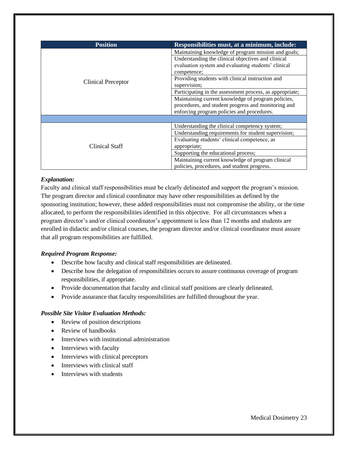| <b>Position</b>           | Responsibilities must, at a minimum, include:            |
|---------------------------|----------------------------------------------------------|
| <b>Clinical Preceptor</b> | Maintaining knowledge of program mission and goals;      |
|                           | Understanding the clinical objectives and clinical       |
|                           | evaluation system and evaluating students' clinical      |
|                           | competence;                                              |
|                           | Providing students with clinical instruction and         |
|                           | supervision;                                             |
|                           | Participating in the assessment process, as appropriate; |
|                           | Maintaining current knowledge of program policies,       |
|                           | procedures, and student progress and monitoring and      |
|                           | enforcing program policies and procedures.               |
|                           |                                                          |
|                           | Understanding the clinical competency system;            |
| Clinical Staff            | Understanding requirements for student supervision;      |
|                           | Evaluating students' clinical competence, as             |
|                           | appropriate;                                             |
|                           | Supporting the educational process;                      |
|                           | Maintaining current knowledge of program clinical        |
|                           | policies, procedures, and student progress.              |

## *Explanation:*

Faculty and clinical staff responsibilities must be clearly delineated and support the program's mission. The program director and clinical coordinator may have other responsibilities as defined by the sponsoring institution; however, these added responsibilities must not compromise the ability, or the time allocated, to perform the responsibilities identified in this objective. For all circumstances when a program director's and/or clinical coordinator's appointment is less than 12 months and students are enrolled in didactic and/or clinical courses, the program director and/or clinical coordinator must assure that all program responsibilities are fulfilled.

# *Required Program Response:*

- Describe how faculty and clinical staff responsibilities are delineated.
- Describe how the delegation of responsibilities occurs to assure continuous coverage of program responsibilities, if appropriate.
- Provide documentation that faculty and clinical staff positions are clearly delineated.
- Provide assurance that faculty responsibilities are fulfilled throughout the year.

- Review of position descriptions
- Review of handbooks
- Interviews with institutional administration
- Interviews with faculty
- Interviews with clinical preceptors
- Interviews with clinical staff
- Interviews with students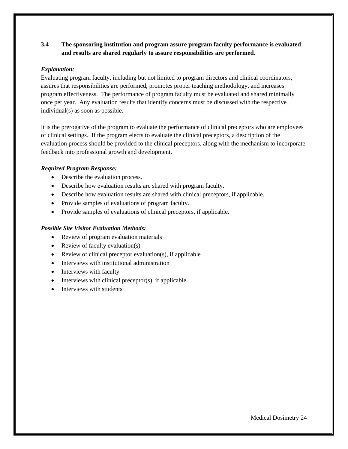# **3.4 The sponsoring institution and program assure program faculty performance is evaluated and results are shared regularly to assure responsibilities are performed.**

## *Explanation:*

Evaluating program faculty, including but not limited to program directors and clinical coordinators, assures that responsibilities are performed, promotes proper teaching methodology, and increases program effectiveness. The performance of program faculty must be evaluated and shared minimally once per year. Any evaluation results that identify concerns must be discussed with the respective individual(s) as soon as possible.

It is the prerogative of the program to evaluate the performance of clinical preceptors who are employees of clinical settings. If the program elects to evaluate the clinical preceptors, a description of the evaluation process should be provided to the clinical preceptors, along with the mechanism to incorporate feedback into professional growth and development.

## *Required Program Response:*

- Describe the evaluation process.
- Describe how evaluation results are shared with program faculty.
- Describe how evaluation results are shared with clinical preceptors, if applicable.
- Provide samples of evaluations of program faculty.
- Provide samples of evaluations of clinical preceptors, if applicable.

- Review of program evaluation materials
- Review of faculty evaluation(s)
- Review of clinical preceptor evaluation(s), if applicable
- Interviews with institutional administration
- Interviews with faculty
- $\bullet$  Interviews with clinical preceptor(s), if applicable
- Interviews with students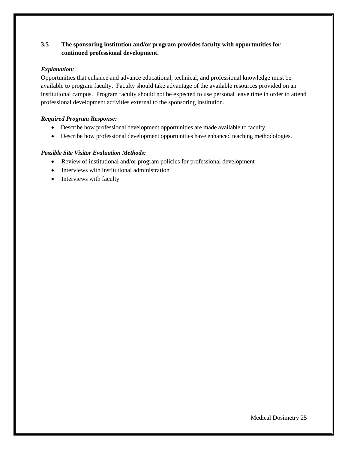# **3.5 The sponsoring institution and/or program provides faculty with opportunities for continued professional development.**

# *Explanation:*

Opportunities that enhance and advance educational, technical, and professional knowledge must be available to program faculty. Faculty should take advantage of the available resources provided on an institutional campus. Program faculty should not be expected to use personal leave time in order to attend professional development activities external to the sponsoring institution.

# *Required Program Response:*

- Describe how professional development opportunities are made available to faculty.
- Describe how professional development opportunities have enhanced teaching methodologies.

- Review of institutional and/or program policies for professional development
- Interviews with institutional administration
- Interviews with faculty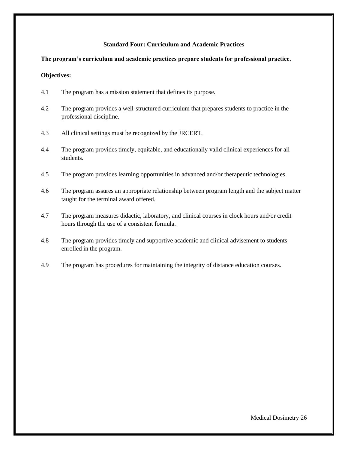## **Standard Four: Curriculum and Academic Practices**

## **The program's curriculum and academic practices prepare students for professional practice.**

#### **Objectives:**

- 4.1 The program has a mission statement that defines its purpose.
- 4.2 The program provides a well-structured curriculum that prepares students to practice in the professional discipline.
- 4.3 All clinical settings must be recognized by the JRCERT.
- 4.4 The program provides timely, equitable, and educationally valid clinical experiences for all students.
- 4.5 The program provides learning opportunities in advanced and/or therapeutic technologies.
- 4.6 The program assures an appropriate relationship between program length and the subject matter taught for the terminal award offered.
- 4.7 The program measures didactic, laboratory, and clinical courses in clock hours and/or credit hours through the use of a consistent formula.
- 4.8 The program provides timely and supportive academic and clinical advisement to students enrolled in the program.
- 4.9 The program has procedures for maintaining the integrity of distance education courses.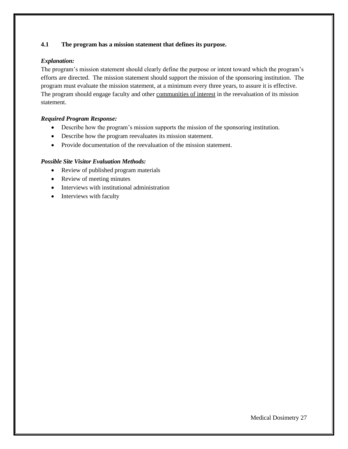# **4.1 The program has a mission statement that defines its purpose.**

## *Explanation:*

The program's mission statement should clearly define the purpose or intent toward which the program's efforts are directed. The mission statement should support the mission of the sponsoring institution. The program must evaluate the mission statement, at a minimum every three years, to assure it is effective. The program should engage faculty and other communities of interest in the reevaluation of its mission statement.

# *Required Program Response:*

- Describe how the program's mission supports the mission of the sponsoring institution.
- Describe how the program reevaluates its mission statement.
- Provide documentation of the reevaluation of the mission statement.

- Review of published program materials
- Review of meeting minutes
- Interviews with institutional administration
- Interviews with faculty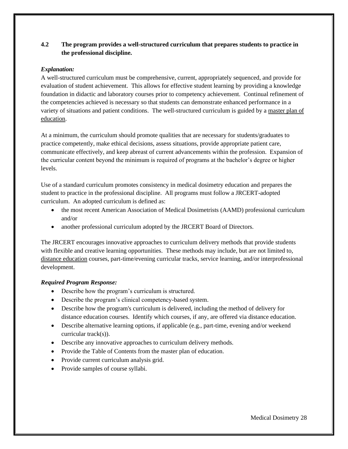# **4.2 The program provides a well-structured curriculum that prepares students to practice in the professional discipline.**

# *Explanation:*

A well-structured curriculum must be comprehensive, current, appropriately sequenced, and provide for evaluation of student achievement. This allows for effective student learning by providing a knowledge foundation in didactic and laboratory courses prior to competency achievement. Continual refinement of the competencies achieved is necessary so that students can demonstrate enhanced performance in a variety of situations and patient conditions. The well-structured curriculum is guided by a master plan of education.

At a minimum, the curriculum should promote qualities that are necessary for students/graduates to practice competently, make ethical decisions, assess situations, provide appropriate patient care, communicate effectively, and keep abreast of current advancements within the profession. Expansion of the curricular content beyond the minimum is required of programs at the bachelor's degree or higher levels.

Use of a standard curriculum promotes consistency in medical dosimetry education and prepares the student to practice in the professional discipline. All programs must follow a JRCERT-adopted curriculum. An adopted curriculum is defined as:

- the most recent American Association of Medical Dosimetrists (AAMD) professional curriculum and/or
- another professional curriculum adopted by the JRCERT Board of Directors.

The JRCERT encourages innovative approaches to curriculum delivery methods that provide students with flexible and creative learning opportunities. These methods may include, but are not limited to, distance education courses, part-time/evening curricular tracks, service learning, and/or interprofessional development.

# *Required Program Response:*

- Describe how the program's curriculum is structured.
- Describe the program's clinical competency-based system.
- Describe how the program's curriculum is delivered, including the method of delivery for distance education courses. Identify which courses, if any, are offered via distance education.
- Describe alternative learning options, if applicable (e.g., part-time, evening and/or weekend curricular track(s)).
- Describe any innovative approaches to curriculum delivery methods.
- Provide the Table of Contents from the master plan of education.
- Provide current curriculum analysis grid.
- Provide samples of course syllabi.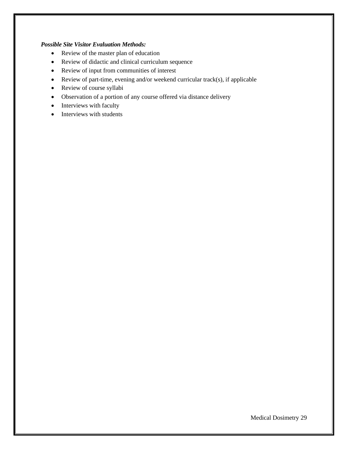- Review of the master plan of education
- Review of didactic and clinical curriculum sequence
- Review of input from communities of interest
- Review of part-time, evening and/or weekend curricular track(s), if applicable
- Review of course syllabi
- Observation of a portion of any course offered via distance delivery
- Interviews with faculty
- Interviews with students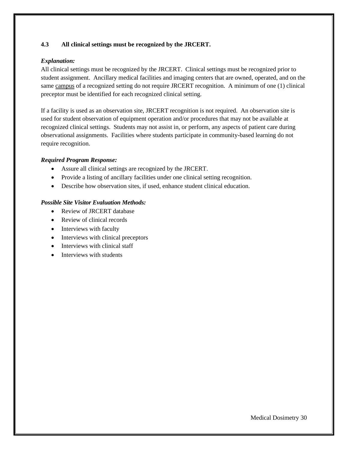### **4.3 All clinical settings must be recognized by the JRCERT.**

## *Explanation:*

All clinical settings must be recognized by the JRCERT. Clinical settings must be recognized prior to student assignment. Ancillary medical facilities and imaging centers that are owned, operated, and on the same campus of a recognized setting do not require JRCERT recognition. A minimum of one (1) clinical preceptor must be identified for each recognized clinical setting.

If a facility is used as an observation site, JRCERT recognition is not required. An observation site is used for student observation of equipment operation and/or procedures that may not be available at recognized clinical settings. Students may not assist in, or perform, any aspects of patient care during observational assignments. Facilities where students participate in community-based learning do not require recognition.

#### *Required Program Response:*

- Assure all clinical settings are recognized by the JRCERT.
- Provide a listing of ancillary facilities under one clinical setting recognition.
- Describe how observation sites, if used, enhance student clinical education.

- Review of JRCERT database
- Review of clinical records
- Interviews with faculty
- Interviews with clinical preceptors
- Interviews with clinical staff
- Interviews with students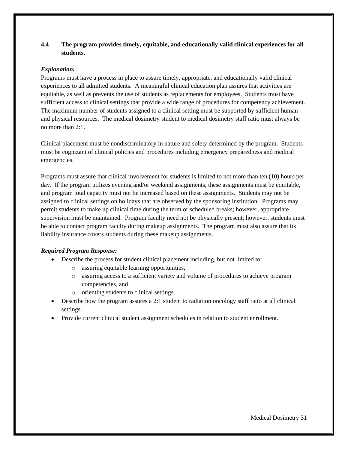# **4.4 The program provides timely, equitable, and educationally valid clinical experiences for all students.**

## *Explanation:*

Programs must have a process in place to assure timely, appropriate, and educationally valid clinical experiences to all admitted students. A meaningful clinical education plan assures that activities are equitable, as well as prevents the use of students as replacements for employees. Students must have sufficient access to clinical settings that provide a wide range of procedures for competency achievement. The maximum number of students assigned to a clinical setting must be supported by sufficient human and physical resources. The medical dosimetry student to medical dosimetry staff ratio must always be no more than 2:1.

Clinical placement must be nondiscriminatory in nature and solely determined by the program. Students must be cognizant of clinical policies and procedures including emergency preparedness and medical emergencies.

Programs must assure that clinical involvement for students is limited to not more than ten (10) hours per day. If the program utilizes evening and/or weekend assignments, these assignments must be equitable, and program total capacity must not be increased based on these assignments. Students may not be assigned to clinical settings on holidays that are observed by the sponsoring institution. Programs may permit students to make up clinical time during the term or scheduled breaks; however, appropriate supervision must be maintained. Program faculty need not be physically present; however, students must be able to contact program faculty during makeup assignments. The program must also assure that its liability insurance covers students during these makeup assignments.

# *Required Program Response:*

- Describe the process for student clinical placement including, but not limited to:
	- o assuring equitable learning opportunities,
	- o assuring access to a sufficient variety and volume of procedures to achieve program competencies, and
	- o orienting students to clinical settings.
- Describe how the program assures a 2:1 student to radiation oncology staff ratio at all clinical settings.
- Provide current clinical student assignment schedules in relation to student enrollment.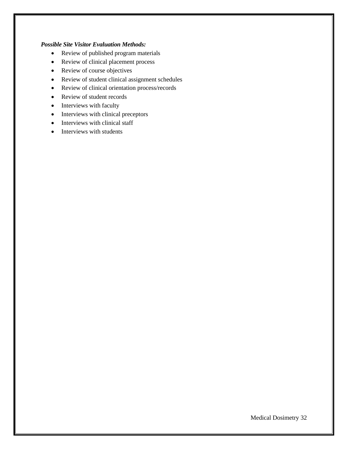- Review of published program materials
- Review of clinical placement process
- Review of course objectives
- Review of student clinical assignment schedules
- Review of clinical orientation process/records
- Review of student records
- Interviews with faculty
- Interviews with clinical preceptors
- Interviews with clinical staff
- Interviews with students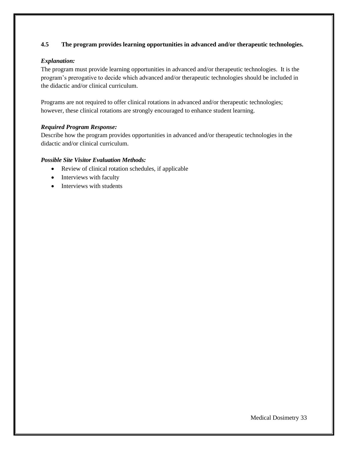# **4.5 The program provides learning opportunities in advanced and/or therapeutic technologies.**

#### *Explanation:*

The program must provide learning opportunities in advanced and/or therapeutic technologies. It is the program's prerogative to decide which advanced and/or therapeutic technologies should be included in the didactic and/or clinical curriculum.

Programs are not required to offer clinical rotations in advanced and/or therapeutic technologies; however, these clinical rotations are strongly encouraged to enhance student learning.

#### *Required Program Response:*

Describe how the program provides opportunities in advanced and/or therapeutic technologies in the didactic and/or clinical curriculum.

- Review of clinical rotation schedules, if applicable
- Interviews with faculty
- Interviews with students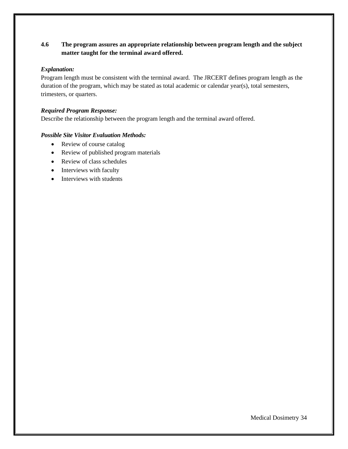# **4.6 The program assures an appropriate relationship between program length and the subject matter taught for the terminal award offered.**

#### *Explanation:*

Program length must be consistent with the terminal award. The JRCERT defines program length as the duration of the program, which may be stated as total academic or calendar year(s), total semesters, trimesters, or quarters.

## *Required Program Response:*

Describe the relationship between the program length and the terminal award offered.

- Review of course catalog
- Review of published program materials
- Review of class schedules
- Interviews with faculty
- Interviews with students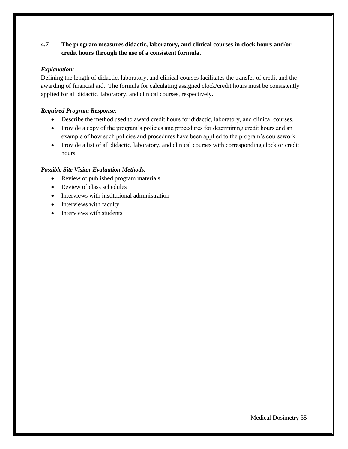# **4.7 The program measures didactic, laboratory, and clinical courses in clock hours and/or credit hours through the use of a consistent formula.**

## *Explanation:*

Defining the length of didactic, laboratory, and clinical courses facilitates the transfer of credit and the awarding of financial aid. The formula for calculating assigned clock/credit hours must be consistently applied for all didactic, laboratory, and clinical courses, respectively.

## *Required Program Response:*

- Describe the method used to award credit hours for didactic, laboratory, and clinical courses.
- Provide a copy of the program's policies and procedures for determining credit hours and an example of how such policies and procedures have been applied to the program's coursework.
- Provide a list of all didactic, laboratory, and clinical courses with corresponding clock or credit hours.

- Review of published program materials
- Review of class schedules
- Interviews with institutional administration
- Interviews with faculty
- Interviews with students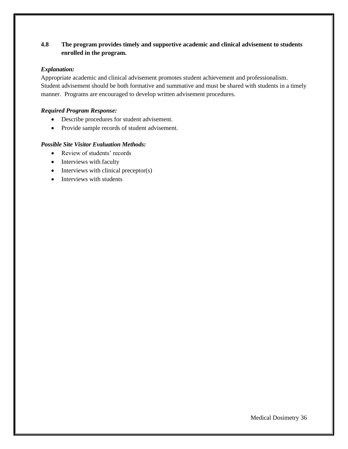# **4.8 The program provides timely and supportive academic and clinical advisement to students enrolled in the program.**

## *Explanation:*

Appropriate academic and clinical advisement promotes student achievement and professionalism. Student advisement should be both formative and summative and must be shared with students in a timely manner. Programs are encouraged to develop written advisement procedures.

# *Required Program Response:*

- Describe procedures for student advisement.
- Provide sample records of student advisement.

- Review of students' records
- Interviews with faculty
- Interviews with clinical preceptor(s)
- Interviews with students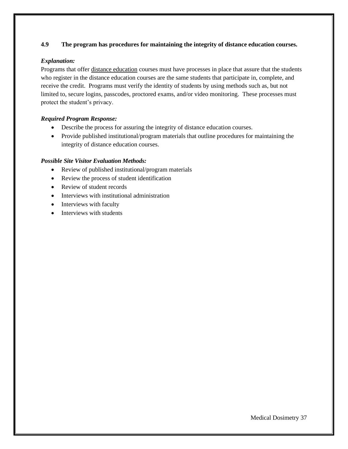# **4.9 The program has procedures for maintaining the integrity of distance education courses.**

## *Explanation:*

Programs that offer distance education courses must have processes in place that assure that the students who register in the distance education courses are the same students that participate in, complete, and receive the credit. Programs must verify the identity of students by using methods such as, but not limited to, secure logins, passcodes, proctored exams, and/or video monitoring.These processes must protect the student's privacy.

# *Required Program Response:*

- Describe the process for assuring the integrity of distance education courses.
- Provide published institutional/program materials that outline procedures for maintaining the integrity of distance education courses.

- Review of published institutional/program materials
- Review the process of student identification
- Review of student records
- Interviews with institutional administration
- Interviews with faculty
- Interviews with students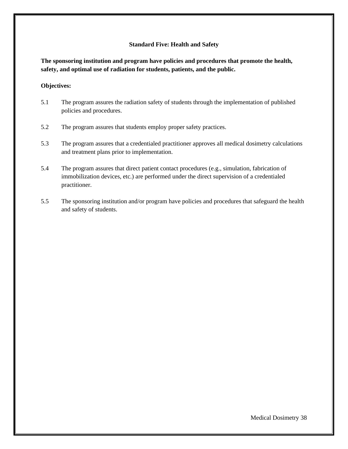#### **Standard Five: Health and Safety**

**The sponsoring institution and program have policies and procedures that promote the health, safety, and optimal use of radiation for students, patients, and the public.** 

#### **Objectives:**

- 5.1 The program assures the radiation safety of students through the implementation of published policies and procedures.
- 5.2 The program assures that students employ proper safety practices.
- 5.3 The program assures that a credentialed practitioner approves all medical dosimetry calculations and treatment plans prior to implementation.
- 5.4 The program assures that direct patient contact procedures (e.g., simulation, fabrication of immobilization devices, etc.) are performed under the direct supervision of a credentialed practitioner.
- 5.5 The sponsoring institution and/or program have policies and procedures that safeguard the health and safety of students.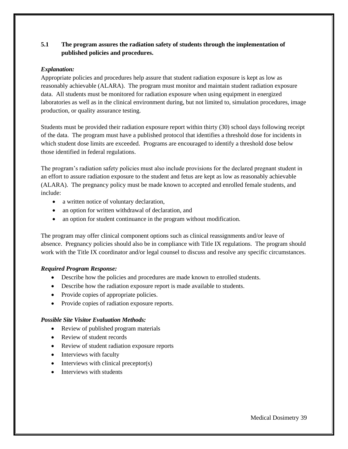# **5.1 The program assures the radiation safety of students through the implementation of published policies and procedures.**

## *Explanation:*

Appropriate policies and procedures help assure that student radiation exposure is kept as low as reasonably achievable (ALARA). The program must monitor and maintain student radiation exposure data. All students must be monitored for radiation exposure when using equipment in energized laboratories as well as in the clinical environment during, but not limited to, simulation procedures, image production, or quality assurance testing.

Students must be provided their radiation exposure report within thirty (30) school days following receipt of the data. The program must have a published protocol that identifies a threshold dose for incidents in which student dose limits are exceeded. Programs are encouraged to identify a threshold dose below those identified in federal regulations.

The program's radiation safety policies must also include provisions for the declared pregnant student in an effort to assure radiation exposure to the student and fetus are kept as low as reasonably achievable (ALARA). The pregnancy policy must be made known to accepted and enrolled female students, and include:

- a written notice of voluntary declaration,
- an option for written withdrawal of declaration, and
- an option for student continuance in the program without modification.

The program may offer clinical component options such as clinical reassignments and/or leave of absence. Pregnancy policies should also be in compliance with Title IX regulations. The program should work with the Title IX coordinator and/or legal counsel to discuss and resolve any specific circumstances.

#### *Required Program Response:*

- Describe how the policies and procedures are made known to enrolled students.
- Describe how the radiation exposure report is made available to students.
- Provide copies of appropriate policies.
- Provide copies of radiation exposure reports.

- Review of published program materials
- Review of student records
- Review of student radiation exposure reports
- Interviews with faculty
- Interviews with clinical preceptor(s)
- Interviews with students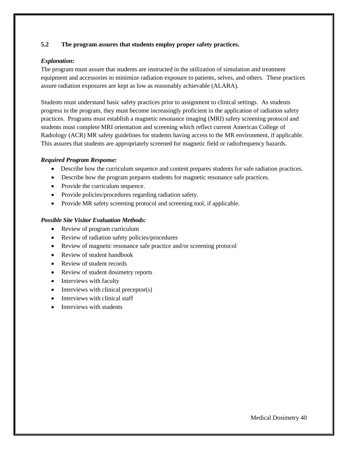## **5.2 The program assures that students employ proper safety practices.**

## *Explanation:*

The program must assure that students are instructed in the utilization of simulation and treatment equipment and accessories to minimize radiation exposure to patients, selves, and others. These practices assure radiation exposures are kept as low as reasonably achievable (ALARA).

Students must understand basic safety practices prior to assignment to clinical settings. As students progress in the program, they must become increasingly proficient in the application of radiation safety practices. Programs must establish a magnetic resonance imaging (MRI) safety screening protocol and students must complete MRI orientation and screening which reflect current American College of Radiology (ACR) MR safety guidelines for students having access to the MR environment, if applicable. This assures that students are appropriately screened for magnetic field or radiofrequency hazards.

#### *Required Program Response:*

- Describe how the curriculum sequence and content prepares students for safe radiation practices.
- Describe how the program prepares students for magnetic resonance safe practices.
- Provide the curriculum sequence.
- Provide policies/procedures regarding radiation safety.
- Provide MR safety screening protocol and screening tool, if applicable.

- Review of program curriculum
- Review of radiation safety policies/procedures
- Review of magnetic resonance safe practice and/or screening protocol
- Review of student handbook
- Review of student records
- Review of student dosimetry reports
- Interviews with faculty
- Interviews with clinical preceptor(s)
- Interviews with clinical staff
- Interviews with students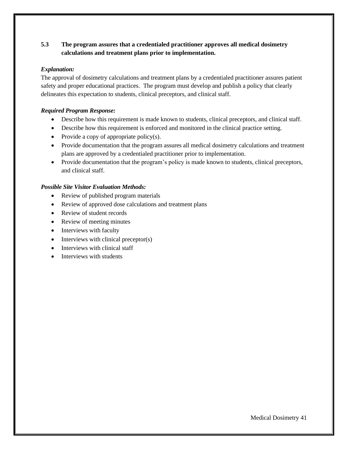# **5.3 The program assures that a credentialed practitioner approves all medical dosimetry calculations and treatment plans prior to implementation.**

## *Explanation:*

The approval of dosimetry calculations and treatment plans by a credentialed practitioner assures patient safety and proper educational practices. The program must develop and publish a policy that clearly delineates this expectation to students, clinical preceptors, and clinical staff.

## *Required Program Response:*

- Describe how this requirement is made known to students, clinical preceptors, and clinical staff.
- Describe how this requirement is enforced and monitored in the clinical practice setting.
- Provide a copy of appropriate policy $(s)$ .
- Provide documentation that the program assures all medical dosimetry calculations and treatment plans are approved by a credentialed practitioner prior to implementation.
- Provide documentation that the program's policy is made known to students, clinical preceptors, and clinical staff.

- Review of published program materials
- Review of approved dose calculations and treatment plans
- Review of student records
- Review of meeting minutes
- Interviews with faculty
- Interviews with clinical preceptor(s)
- Interviews with clinical staff
- Interviews with students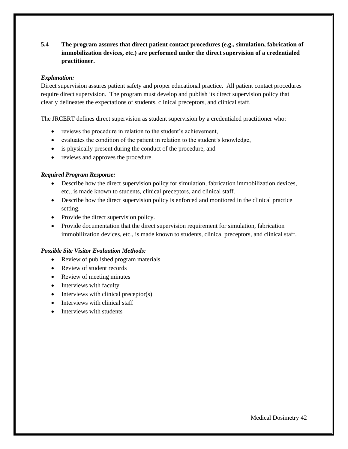# **5.4 The program assures that direct patient contact procedures (e.g., simulation, fabrication of immobilization devices, etc.) are performed under the direct supervision of a credentialed practitioner.**

## *Explanation:*

Direct supervision assures patient safety and proper educational practice. All patient contact procedures require direct supervision. The program must develop and publish its direct supervision policy that clearly delineates the expectations of students, clinical preceptors, and clinical staff.

The JRCERT defines direct supervision as student supervision by a credentialed practitioner who:

- reviews the procedure in relation to the student's achievement,
- evaluates the condition of the patient in relation to the student's knowledge,
- is physically present during the conduct of the procedure, and
- reviews and approves the procedure.

## *Required Program Response:*

- Describe how the direct supervision policy for simulation, fabrication immobilization devices, etc., is made known to students, clinical preceptors, and clinical staff.
- Describe how the direct supervision policy is enforced and monitored in the clinical practice setting.
- Provide the direct supervision policy.
- Provide documentation that the direct supervision requirement for simulation, fabrication immobilization devices, etc., is made known to students, clinical preceptors, and clinical staff.

- Review of published program materials
- Review of student records
- Review of meeting minutes
- Interviews with faculty
- Interviews with clinical preceptor(s)
- Interviews with clinical staff
- Interviews with students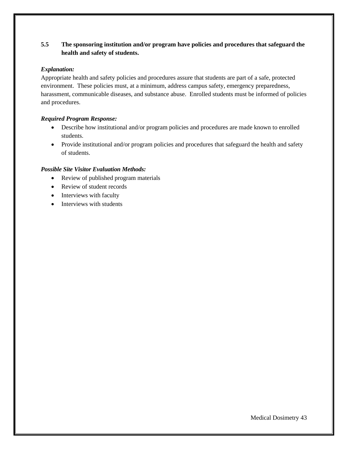# **5.5 The sponsoring institution and/or program have policies and procedures that safeguard the health and safety of students.**

## *Explanation:*

Appropriate health and safety policies and procedures assure that students are part of a safe, protected environment. These policies must, at a minimum, address campus safety, emergency preparedness, harassment, communicable diseases, and substance abuse. Enrolled students must be informed of policies and procedures.

# *Required Program Response:*

- Describe how institutional and/or program policies and procedures are made known to enrolled students.
- Provide institutional and/or program policies and procedures that safeguard the health and safety of students.

- Review of published program materials
- Review of student records
- Interviews with faculty
- Interviews with students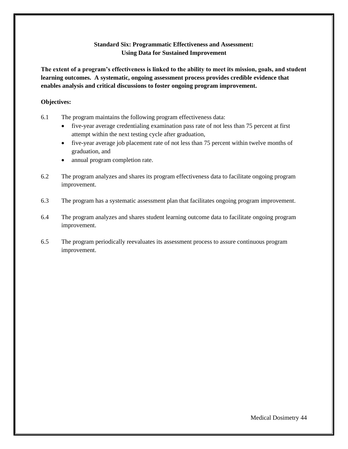# **Standard Six: Programmatic Effectiveness and Assessment: Using Data for Sustained Improvement**

**The extent of a program's effectiveness is linked to the ability to meet its mission, goals, and student learning outcomes. A systematic, ongoing assessment process provides credible evidence that enables analysis and critical discussions to foster ongoing program improvement.** 

#### **Objectives:**

- 6.1 The program maintains the following program effectiveness data:
	- five-year average credentialing examination pass rate of not less than 75 percent at first attempt within the next testing cycle after graduation,
	- five-year average job placement rate of not less than 75 percent within twelve months of graduation, and
	- annual program completion rate.
- 6.2 The program analyzes and shares its program effectiveness data to facilitate ongoing program improvement.
- 6.3 The program has a systematic assessment plan that facilitates ongoing program improvement.
- 6.4 The program analyzes and shares student learning outcome data to facilitate ongoing program improvement.
- 6.5 The program periodically reevaluates its assessment process to assure continuous program improvement.

Medical Dosimetry 44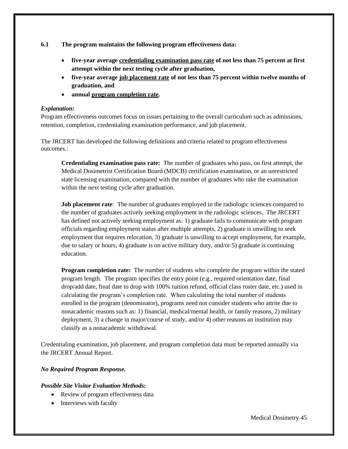**6.1 The program maintains the following program effectiveness data:** 

- **five-year average credentialing examination pass rate of not less than 75 percent at first attempt within the next testing cycle after graduation,**
- **five-year average job placement rate of not less than 75 percent within twelve months of graduation, and**
- **annual program completion rate.**

#### *Explanation:*

Program effectiveness outcomes focus on issues pertaining to the overall curriculum such as admissions, retention, completion, credentialing examination performance, and job placement.

The JRCERT has developed the following definitions and criteria related to program effectiveness outcomes.

**Credentialing examination pass rate:** The number of graduates who pass, on first attempt, the Medical Dosimetrist Certification Board (MDCB) certification examination, or an unrestricted state licensing examination, compared with the number of graduates who take the examination within the next testing cycle after graduation.

**Job placement rate**: The number of graduates employed in the radiologic sciences compared to the number of graduates actively seeking employment in the radiologic sciences. The JRCERT has defined not actively seeking employment as: 1) graduate fails to communicate with program officials regarding employment status after multiple attempts, 2) graduate is unwilling to seek employment that requires relocation, 3) graduate is unwilling to accept employment, for example, due to salary or hours, 4) graduate is on active military duty, and/or 5) graduate is continuing education.

**Program completion rate:** The number of students who complete the program within the stated program length. The program specifies the entry point  $(e.g., required orientation date, final)$ drop/add date, final date to drop with 100% tuition refund, official class roster date, etc.) used in calculating the program's completion rate. When calculating the total number of students enrolled in the program (denominator), programs need not consider students who attrite due to nonacademic reasons such as: 1) financial, medical/mental health, or family reasons, 2) military deployment, 3) a change in major/course of study, and/or 4) other reasons an institution may classify as a nonacademic withdrawal.

Credentialing examination, job placement, and program completion data must be reported annually via the JRCERT Annual Report.

# *No Required Program Response.*

- Review of program effectiveness data
- Interviews with faculty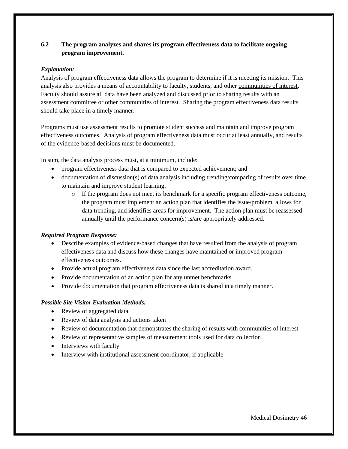# **6.2 The program analyzes and shares its program effectiveness data to facilitate ongoing program improvement.**

## *Explanation:*

Analysis of program effectiveness data allows the program to determine if it is meeting its mission. This analysis also provides a means of accountability to faculty, students, and other communities of interest. Faculty should assure all data have been analyzed and discussed prior to sharing results with an assessment committee or other communities of interest. Sharing the program effectiveness data results should take place in a timely manner.

Programs must use assessment results to promote student success and maintain and improve program effectiveness outcomes. Analysis of program effectiveness data must occur at least annually, and results of the evidence-based decisions must be documented.

In sum, the data analysis process must, at a minimum, include:

- program effectiveness data that is compared to expected achievement; and
- documentation of discussion(s) of data analysis including trending/comparing of results over time to maintain and improve student learning.
	- o If the program does not meet its benchmark for a specific program effectiveness outcome, the program must implement an action plan that identifies the issue/problem, allows for data trending, and identifies areas for improvement. The action plan must be reassessed annually until the performance concern(s) is/are appropriately addressed.

#### *Required Program Response:*

- Describe examples of evidence-based changes that have resulted from the analysis of program effectiveness data and discuss how these changes have maintained or improved program effectiveness outcomes.
- Provide actual program effectiveness data since the last accreditation award.
- Provide documentation of an action plan for any unmet benchmarks.
- Provide documentation that program effectiveness data is shared in a timely manner.

- Review of aggregated data
- Review of data analysis and actions taken
- Review of documentation that demonstrates the sharing of results with communities of interest
- Review of representative samples of measurement tools used for data collection
- Interviews with faculty
- Interview with institutional assessment coordinator, if applicable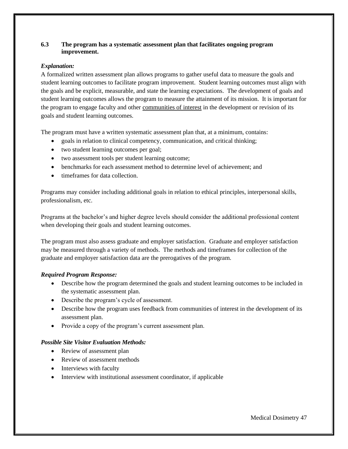## **6.3 The program has a systematic assessment plan that facilitates ongoing program improvement.**

## *Explanation:*

A formalized written assessment plan allows programs to gather useful data to measure the goals and student learning outcomes to facilitate program improvement. Student learning outcomes must align with the goals and be explicit, measurable, and state the learning expectations. The development of goals and student learning outcomes allows the program to measure the attainment of its mission. It is important for the program to engage faculty and other communities of interest in the development or revision of its goals and student learning outcomes.

The program must have a written systematic assessment plan that, at a minimum, contains:

- goals in relation to clinical competency, communication, and critical thinking;
- two student learning outcomes per goal;
- two assessment tools per student learning outcome;
- benchmarks for each assessment method to determine level of achievement; and
- timeframes for data collection.

Programs may consider including additional goals in relation to ethical principles, interpersonal skills, professionalism, etc.

Programs at the bachelor's and higher degree levels should consider the additional professional content when developing their goals and student learning outcomes.

The program must also assess graduate and employer satisfaction. Graduate and employer satisfaction may be measured through a variety of methods. The methods and timeframes for collection of the graduate and employer satisfaction data are the prerogatives of the program.

# *Required Program Response:*

- Describe how the program determined the goals and student learning outcomes to be included in the systematic assessment plan.
- Describe the program's cycle of assessment.
- Describe how the program uses feedback from communities of interest in the development of its assessment plan.
- Provide a copy of the program's current assessment plan.

- Review of assessment plan
- Review of assessment methods
- Interviews with faculty
- Interview with institutional assessment coordinator, if applicable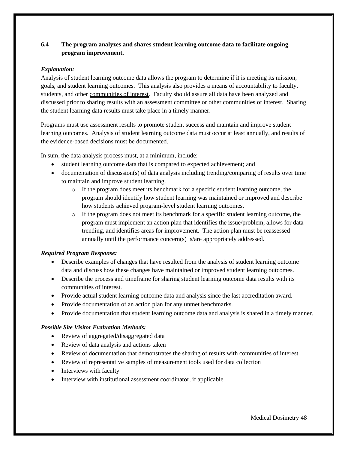# **6.4 The program analyzes and shares student learning outcome data to facilitate ongoing program improvement.**

## *Explanation:*

Analysis of student learning outcome data allows the program to determine if it is meeting its mission, goals, and student learning outcomes. This analysis also provides a means of accountability to faculty, students, and other communities of interest. Faculty should assure all data have been analyzed and discussed prior to sharing results with an assessment committee or other communities of interest. Sharing the student learning data results must take place in a timely manner.

Programs must use assessment results to promote student success and maintain and improve student learning outcomes. Analysis of student learning outcome data must occur at least annually, and results of the evidence-based decisions must be documented.

In sum, the data analysis process must, at a minimum, include:

- student learning outcome data that is compared to expected achievement; and
- documentation of discussion(s) of data analysis including trending/comparing of results over time to maintain and improve student learning.
	- $\circ$  If the program does meet its benchmark for a specific student learning outcome, the program should identify how student learning was maintained or improved and describe how students achieved program-level student learning outcomes.
	- o If the program does not meet its benchmark for a specific student learning outcome, the program must implement an action plan that identifies the issue/problem, allows for data trending, and identifies areas for improvement. The action plan must be reassessed annually until the performance concern(s) is/are appropriately addressed.

# *Required Program Response:*

- Describe examples of changes that have resulted from the analysis of student learning outcome data and discuss how these changes have maintained or improved student learning outcomes.
- Describe the process and timeframe for sharing student learning outcome data results with its communities of interest.
- Provide actual student learning outcome data and analysis since the last accreditation award.
- Provide documentation of an action plan for any unmet benchmarks.
- Provide documentation that student learning outcome data and analysis is shared in a timely manner.

- Review of aggregated/disaggregated data
- Review of data analysis and actions taken
- Review of documentation that demonstrates the sharing of results with communities of interest
- Review of representative samples of measurement tools used for data collection
- Interviews with faculty
- Interview with institutional assessment coordinator, if applicable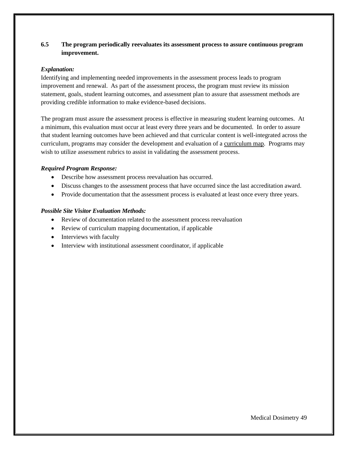# **6.5 The program periodically reevaluates its assessment process to assure continuous program improvement.**

#### *Explanation:*

Identifying and implementing needed improvements in the assessment process leads to program improvement and renewal. As part of the assessment process, the program must review its mission statement, goals, student learning outcomes, and assessment plan to assure that assessment methods are providing credible information to make evidence-based decisions.

The program must assure the assessment process is effective in measuring student learning outcomes. At a minimum, this evaluation must occur at least every three years and be documented. In order to assure that student learning outcomes have been achieved and that curricular content is well-integrated across the curriculum, programs may consider the development and evaluation of a curriculum map. Programs may wish to utilize assessment rubrics to assist in validating the assessment process.

## *Required Program Response:*

- Describe how assessment process reevaluation has occurred.
- Discuss changes to the assessment process that have occurred since the last accreditation award.
- Provide documentation that the assessment process is evaluated at least once every three years.

- Review of documentation related to the assessment process reevaluation
- Review of curriculum mapping documentation, if applicable
- Interviews with faculty
- Interview with institutional assessment coordinator, if applicable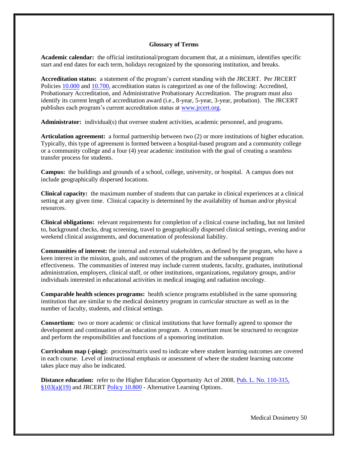#### **Glossary of Terms**

**Academic calendar:** the official institutional/program document that, at a minimum, identifies specific start and end dates for each term, holidays recognized by the sponsoring institution, and breaks.

**Accreditation status:** a statement of the program's current standing with the JRCERT. Per JRCERT Policies [10.000](https://www.jrcert.org/resources/governance/accreditation-policies/10-000/) and [10.700,](https://www.jrcert.org/resources/governance/accreditation-policies/10-700/) accreditation status is categorized as one of the following: Accredited, Probationary Accreditation, and Administrative Probationary Accreditation. The program must also identify its current length of accreditation award (i.e., 8-year, 5-year, 3-year, probation). The JRCERT publishes each program's current accreditation status at [www.jrcert.org.](http://www.jrcert.org/)

**Administrator:** individual(s) that oversee student activities, academic personnel, and programs.

**Articulation agreement:** a formal partnership between two (2) or more institutions of higher education. Typically, this type of agreement is formed between a hospital-based program and a community college or a community college and a four (4) year academic institution with the goal of creating a seamless transfer process for students.

**Campus:** the buildings and grounds of a school, college, university, or hospital. A campus does not include geographically dispersed locations.

**Clinical capacity:** the maximum number of students that can partake in clinical experiences at a clinical setting at any given time. Clinical capacity is determined by the availability of human and/or physical resources.

**Clinical obligations:** relevant requirements for completion of a clinical course including, but not limited to, background checks, drug screening, travel to geographically dispersed clinical settings, evening and/or weekend clinical assignments, and documentation of professional liability.

**Communities of interest:** the internal and external stakeholders, as defined by the program, who have a keen interest in the mission, goals, and outcomes of the program and the subsequent program effectiveness. The communities of interest may include current students, faculty, graduates, institutional administration, employers, clinical staff, or other institutions, organizations, regulatory groups, and/or individuals interested in educational activities in medical imaging and radiation oncology.

**Comparable health sciences programs:** health science programs established in the same sponsoring institution that are similar to the medical dosimetry program in curricular structure as well as in the number of faculty, students, and clinical settings.

**Consortium:** two or more academic or clinical institutions that have formally agreed to sponsor the development and continuation of an education program. A consortium must be structured to recognize and perform the responsibilities and functions of a sponsoring institution.

**Curriculum map (-ping):** process**/**matrix used to indicate where student learning outcomes are covered in each course. Level of instructional emphasis or assessment of where the student learning outcome takes place may also be indicated.

**Distance education:** refer to the Higher Education Opportunity Act of 2008, [Pub. L. No. 110-315,](https://www.gpo.gov/fdsys/pkg/PLAW-110publ315/content-detail.html)  [§103\(a\)\(19\)](https://www.gpo.gov/fdsys/pkg/PLAW-110publ315/content-detail.html) and JRCERT [Policy 10.800](https://www.jrcert.org/resources/governance/accreditation-policies/10-800/) - Alternative Learning Options.

Medical Dosimetry 50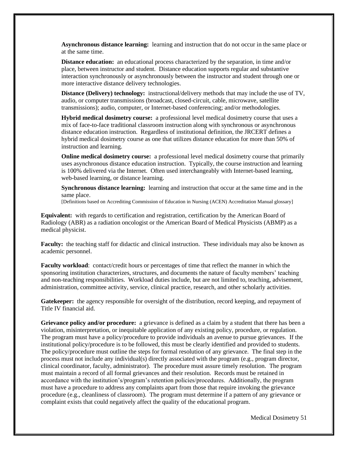**Asynchronous distance learning:** learning and instruction that do not occur in the same place or at the same time.

**Distance education:** an educational process characterized by the separation, in time and/or place, between instructor and student. Distance education supports regular and substantive interaction synchronously or asynchronously between the instructor and student through one or more interactive distance delivery technologies.

**Distance (Delivery) technology:** instructional/delivery methods that may include the use of TV, audio, or computer transmissions (broadcast, closed-circuit, cable, microwave, satellite transmissions); audio, computer, or Internet-based conferencing; and/or methodologies.

**Hybrid medical dosimetry course:** a professional level medical dosimetry course that uses a mix of face-to-face traditional classroom instruction along with synchronous or asynchronous distance education instruction. Regardless of institutional definition, the JRCERT defines a hybrid medical dosimetry course as one that utilizes distance education for more than 50% of instruction and learning.

**Online medical dosimetry course:** a professional level medical dosimetry course that primarily uses asynchronous distance education instruction. Typically, the course instruction and learning is 100% delivered via the Internet. Often used interchangeably with Internet-based learning, web-based learning, or distance learning.

**Synchronous distance learning:** learning and instruction that occur at the same time and in the same place.

[Definitions based on Accrediting Commission of Education in Nursing (ACEN) Accreditation Manual glossary]

**Equivalent:** with regards to certification and registration, certification by the American Board of Radiology (ABR) as a radiation oncologist or the American Board of Medical Physicists (ABMP) as a medical physicist.

**Faculty:** the teaching staff for didactic and clinical instruction. These individuals may also be known as academic personnel.

**Faculty workload**: contact/credit hours or percentages of time that reflect the manner in which the sponsoring institution characterizes, structures, and documents the nature of faculty members' teaching and non-teaching responsibilities. Workload duties include, but are not limited to, teaching, advisement, administration, committee activity, service, clinical practice, research, and other scholarly activities.

Gatekeeper: the agency responsible for oversight of the distribution, record keeping, and repayment of Title IV financial aid.

**Grievance policy and/or procedure:** a grievance is defined as a claim by a student that there has been a violation, misinterpretation, or inequitable application of any existing policy, procedure, or regulation. The program must have a policy/procedure to provide individuals an avenue to pursue grievances. If the institutional policy/procedure is to be followed, this must be clearly identified and provided to students. The policy/procedure must outline the steps for formal resolution of any grievance. The final step in the process must not include any individual(s) directly associated with the program (e.g., program director, clinical coordinator, faculty, administrator). The procedure must assure timely resolution. The program must maintain a record of all formal grievances and their resolution. Records must be retained in accordance with the institution's/program's retention policies/procedures. Additionally, the program must have a procedure to address any complaints apart from those that require invoking the grievance procedure (e.g., cleanliness of classroom). The program must determine if a pattern of any grievance or complaint exists that could negatively affect the quality of the educational program.

Medical Dosimetry 51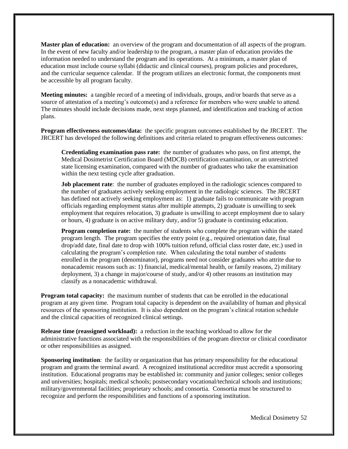**Master plan of education:** an overview of the program and documentation of all aspects of the program. In the event of new faculty and/or leadership to the program, a master plan of education provides the information needed to understand the program and its operations. At a minimum, a master plan of education must include course syllabi (didactic and clinical courses), program policies and procedures, and the curricular sequence calendar. If the program utilizes an electronic format, the components must be accessible by all program faculty.

**Meeting minutes:** a tangible record of a meeting of individuals, groups, and/or boards that serve as a source of attestation of a meeting's outcome(s) and a reference for members who were unable to attend. The minutes should include decisions made, next steps planned, and identification and tracking of action plans.

**Program effectiveness outcomes/data:** the specific program outcomes established by the JRCERT. The JRCERT has developed the following definitions and criteria related to program effectiveness outcomes:

**Credentialing examination pass rate:** the number of graduates who pass, on first attempt, the Medical Dosimetrist Certification Board (MDCB) certification examination, or an unrestricted state licensing examination, compared with the number of graduates who take the examination within the next testing cycle after graduation.

**Job placement rate**: the number of graduates employed in the radiologic sciences compared to the number of graduates actively seeking employment in the radiologic sciences. The JRCERT has defined not actively seeking employment as: 1) graduate fails to communicate with program officials regarding employment status after multiple attempts, 2) graduate is unwilling to seek employment that requires relocation, 3) graduate is unwilling to accept employment due to salary or hours, 4) graduate is on active military duty, and/or 5) graduate is continuing education.

**Program completion rate:** the number of students who complete the program within the stated program length. The program specifies the entry point  $(e.g., required orientation date, final)$ drop/add date, final date to drop with 100% tuition refund, official class roster date, etc.) used in calculating the program's completion rate. When calculating the total number of students enrolled in the program (denominator), programs need not consider graduates who attrite due to nonacademic reasons such as: 1) financial, medical/mental health, or family reasons, 2) military deployment, 3) a change in major/course of study, and/or 4) other reasons an institution may classify as a nonacademic withdrawal.

**Program total capacity:** the maximum number of students that can be enrolled in the educational program at any given time. Program total capacity is dependent on the availability of human and physical resources of the sponsoring institution. It is also dependent on the program's clinical rotation schedule and the clinical capacities of recognized clinical settings.

**Release time (reassigned workload):** a reduction in the teaching workload to allow for the administrative functions associated with the responsibilities of the program director or clinical coordinator or other responsibilities as assigned.

**Sponsoring institution**: the facility or organization that has primary responsibility for the educational program and grants the terminal award. A recognized institutional accreditor must accredit a sponsoring institution. Educational programs may be established in: community and junior colleges; senior colleges and universities; hospitals; medical schools; postsecondary vocational/technical schools and institutions; military/governmental facilities; proprietary schools; and consortia. Consortia must be structured to recognize and perform the responsibilities and functions of a sponsoring institution.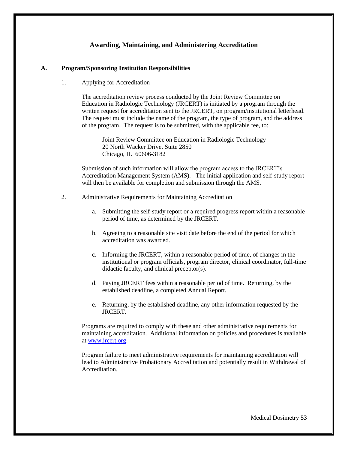# **Awarding, Maintaining, and Administering Accreditation**

#### **A. Program/Sponsoring Institution Responsibilities**

1. Applying for Accreditation

The accreditation review process conducted by the Joint Review Committee on Education in Radiologic Technology (JRCERT) is initiated by a program through the written request for accreditation sent to the JRCERT, on program/institutional letterhead. The request must include the name of the program, the type of program, and the address of the program. The request is to be submitted, with the applicable fee, to:

Joint Review Committee on Education in Radiologic Technology 20 North Wacker Drive, Suite 2850 Chicago, IL 60606-3182

Submission of such information will allow the program access to the JRCERT's Accreditation Management System (AMS). The initial application and self-study report will then be available for completion and submission through the AMS.

- 2. Administrative Requirements for Maintaining Accreditation
	- a. Submitting the self-study report or a required progress report within a reasonable period of time, as determined by the JRCERT.
	- b. Agreeing to a reasonable site visit date before the end of the period for which accreditation was awarded.
	- c. Informing the JRCERT, within a reasonable period of time, of changes in the institutional or program officials, program director, clinical coordinator, full-time didactic faculty, and clinical preceptor(s).
	- d. Paying JRCERT fees within a reasonable period of time. Returning, by the established deadline, a completed Annual Report.
	- e. Returning, by the established deadline, any other information requested by the JRCERT.

Programs are required to comply with these and other administrative requirements for maintaining accreditation. Additional information on policies and procedures is available at [www.jrcert.org.](http://www.jrcert.org/)

Program failure to meet administrative requirements for maintaining accreditation will lead to Administrative Probationary Accreditation and potentially result in Withdrawal of **Accreditation**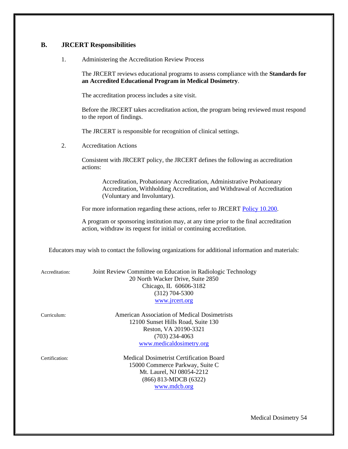# **B. JRCERT Responsibilities**

1. Administering the Accreditation Review Process

The JRCERT reviews educational programs to assess compliance with the **Standards for an Accredited Educational Program in Medical Dosimetry**.

The accreditation process includes a site visit.

Before the JRCERT takes accreditation action, the program being reviewed must respond to the report of findings.

The JRCERT is responsible for recognition of clinical settings.

2. Accreditation Actions

Consistent with JRCERT policy, the JRCERT defines the following as accreditation actions:

Accreditation, Probationary Accreditation, Administrative Probationary Accreditation, Withholding Accreditation, and Withdrawal of Accreditation (Voluntary and Involuntary).

For more information regarding these actions, refer to JRCERT [Policy 10.200.](https://www.jrcert.org/resources/governance/accreditation-policies/10-200/)

A program or sponsoring institution may, at any time prior to the final accreditation action, withdraw its request for initial or continuing accreditation.

Educators may wish to contact the following organizations for additional information and materials:

| Accreditation: | Joint Review Committee on Education in Radiologic Technology<br>20 North Wacker Drive, Suite 2850<br>Chicago, IL 60606-3182<br>$(312)$ 704-5300<br>www.jrcert.org |
|----------------|-------------------------------------------------------------------------------------------------------------------------------------------------------------------|
| Curriculum:    | American Association of Medical Dosimetrists<br>12100 Sunset Hills Road, Suite 130<br>Reston, VA 20190-3321<br>$(703)$ 234-4063<br>www.medicaldosimetry.org       |
| Certification: | Medical Dosimetrist Certification Board<br>15000 Commerce Parkway, Suite C<br>Mt. Laurel, NJ 08054-2212<br>(866) 813-MDCB (6322)                                  |

[www.mdcb.org](http://www.mdcb.org/)

Medical Dosimetry 54